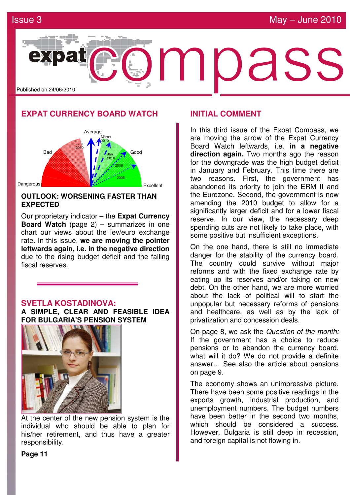

## **EXPAT CURRENCY BOARD WATCH**



## **OUTLOOK: WORSENING FASTER THAN EXPECTED**

Our proprietary indicator – the **Expat Currency Board Watch** (page 2) – summarizes in one chart our views about the lev/euro exchange rate. In this issue, **we are moving the pointer leftwards again, i.e. in the negative direction** due to the rising budget deficit and the falling fiscal reserves.

## **SVETLA KOSTADINOVA:**

**A SIMPLE, CLEAR AND FEASIBLE IDEA FOR BULGARIA'S PENSION SYSTEM** 



At the center of the new pension system is the individual who should be able to plan for his/her retirement, and thus have a greater responsibility.

## **INITIAL COMMENT**

In this third issue of the Expat Compass, we are moving the arrow of the Expat Currency Board Watch leftwards, i.e. **in a negative direction again.** Two months ago the reason for the downgrade was the high budget deficit in January and February. This time there are two reasons. First, the government has abandoned its priority to join the ERM ІІ and the Eurozone. Second, the government is now amending the 2010 budget to allow for a significantly larger deficit and for a lower fiscal reserve. In our view, the necessary deep spending cuts are not likely to take place, with some positive but insufficient exceptions.

On the one hand, there is still no immediate danger for the stability of the currency board. The country could survive without major reforms and with the fixed exchange rate by eating up its reserves and/or taking on new debt. On the other hand, we are more worried about the lack of political will to start the unpopular but necessary reforms of pensions and healthcare, as well as by the lack of privatization and concession deals.

On page 8, we ask the Question of the month: If the government has a choice to reduce pensions or to abandon the currency board, what will it do? We do not provide a definite answer… See also the article about pensions on page 9.

The economy shows an unimpressive picture. There have been some positive readings in the exports growth, industrial production, and unemployment numbers. The budget numbers have been better in the second two months. which should be considered a success. However, Bulgaria is still deep in recession, and foreign capital is not flowing in.

**Page 11**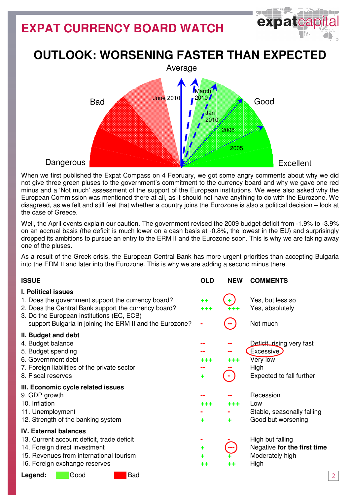# **EXPAT CURRENCY BOARD WATCH**



# **OUTLOOK: WORSENING FASTER THAN EXPECTED**



When we first published the Expat Compass on 4 February, we got some angry comments about why we did not give three green pluses to the government's commitment to the currency board and why we gave one red minus and a 'Not much' assessment of the support of the European institutions. We were also asked why the European Commission was mentioned there at all, as it should not have anything to do with the Eurozone. We disagreed, as we felt and still feel that whether a country joins the Eurozone is also a political decision – look at the case of Greece.

Well, the April events explain our caution. The government revised the 2009 budget deficit from -1.9% to -3.9% on an accrual basis (the deficit is much lower on a cash basis at -0.8%, the lowest in the EU) and surprisingly dropped its ambitions to pursue an entry to the ERM ІІ and the Eurozone soon. This is why we are taking away one of the pluses.

As a result of the Greek crisis, the European Central Bank has more urgent priorities than accepting Bulgaria into the ERM ІІ and later into the Eurozone. This is why we are adding a second minus there.

| <b>ISSUE</b>                                                                                                                                                                                                                                      | <b>OLD</b>           | <b>NEW</b> | <b>COMMENTS</b>                                                                        |
|---------------------------------------------------------------------------------------------------------------------------------------------------------------------------------------------------------------------------------------------------|----------------------|------------|----------------------------------------------------------------------------------------|
| <b>I. Political issues</b><br>1. Does the government support the currency board?<br>2. Does the Central Bank support the currency board?<br>3. Do the European institutions (EC, ECB)<br>support Bulgaria in joining the ERM II and the Eurozone? | $++$<br>+++          |            | Yes, but less so<br>Yes, absolutely<br>Not much                                        |
| II. Budget and debt<br>4. Budget balance<br>5. Budget spending<br>6. Government debt<br>7. Foreign liabilities of the private sector<br>8. Fiscal reserves                                                                                        | +++<br>٠             | +++        | Deficit, rising very fast<br>Excessive<br>Very low<br>High<br>Expected to fall further |
| III. Economic cycle related issues<br>9. GDP growth<br>10. Inflation<br>11. Unemployment<br>12. Strength of the banking system                                                                                                                    | +++<br>٠             | +++<br>٠   | Recession<br>Low<br>Stable, seasonally falling<br>Good but worsening                   |
| <b>IV. External balances</b><br>13. Current account deficit, trade deficit<br>14. Foreign direct investment<br>15. Revenues from international tourism<br>16. Foreign exchange reserves                                                           | ۰<br>٠<br>٠<br>$+ +$ | ++         | High but falling<br>Negative for the first time<br>Moderately high<br>High             |
| <b>Bad</b><br>Good<br>Legend:                                                                                                                                                                                                                     |                      |            |                                                                                        |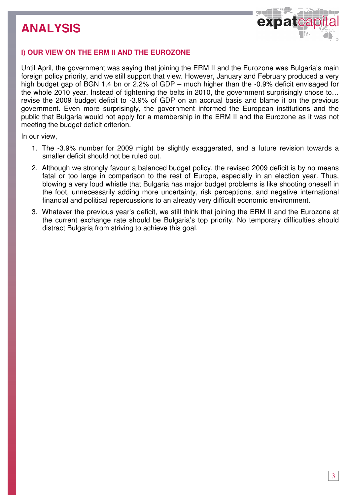

## І**) OUR VIEW ON THE ERM** ІІ **AND THE EUROZONE**

Until April, the government was saying that joining the ERM ІІ and the Eurozone was Bulgaria's main foreign policy priority, and we still support that view. However, January and February produced a very high budget gap of BGN 1.4 bn or 2.2% of GDP – much higher than the -0.9% deficit envisaged for the whole 2010 year. Instead of tightening the belts in 2010, the government surprisingly chose to… revise the 2009 budget deficit to -3.9% of GDP on an accrual basis and blame it on the previous government. Even more surprisingly, the government informed the European institutions and the public that Bulgaria would not apply for a membership in the ERM ІІ and the Eurozone as it was not meeting the budget deficit criterion.

In our view,

- 1. The -3.9% number for 2009 might be slightly exaggerated, and a future revision towards a smaller deficit should not be ruled out.
- 2. Although we strongly favour a balanced budget policy, the revised 2009 deficit is by no means fatal or too large in comparison to the rest of Europe, especially in an election year. Thus, blowing a very loud whistle that Bulgaria has major budget problems is like shooting oneself in the foot, unnecessarily adding more uncertainty, risk perceptions, and negative international financial and political repercussions to an already very difficult economic environment.
- 3. Whatever the previous year's deficit, we still think that joining the ERM II and the Eurozone at the current exchange rate should be Bulgaria's top priority. No temporary difficulties should distract Bulgaria from striving to achieve this goal.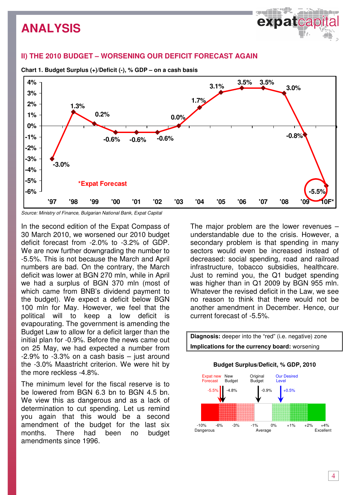## **II) THE 2010 BUDGET – WORSENING OUR DEFICIT FORECAST AGAIN**



**Chart 1. Budget Surplus (+)/Deficit (-), % GDP – on a cash basis** 

Source: Ministry of Finance, Bulgarian National Bank, Expat Capital

In the second edition of the Expat Compass of 30 March 2010, we worsened our 2010 budget deficit forecast from -2.0% to -3.2% of GDP. We are now further downgrading the number to -5.5%. This is not because the March and April numbers are bad. On the contrary, the March deficit was lower at BGN 270 mln, while in April we had a surplus of BGN 370 mln (most of which came from BNB's dividend payment to the budget). We expect a deficit below BGN 100 mln for May. However, we feel that the political will to keep a low deficit is evapourating. The government is amending the Budget Law to allow for a deficit larger than the initial plan for -0.9%. Before the news came out on 25 May, we had expected a number from  $-2.9\%$  to  $-3.3\%$  on a cash basis  $-$  just around the -3.0% Maastricht criterion. We were hit by the more reckless -4.8%.

The minimum level for the fiscal reserve is to be lowered from BGN 6.3 bn to BGN 4.5 bn. We view this as dangerous and as a lack of determination to cut spending. Let us remind you again that this would be a second amendment of the budget for the last six months. There had been no budget amendments since 1996.

The major problem are the lower revenues – understandable due to the crisis. However, a secondary problem is that spending in many sectors would even be increased instead of decreased: social spending, road and railroad infrastructure, tobacco subsidies, healthcare. Just to remind you, the Q1 budget spending was higher than in Q1 2009 by BGN 955 mln. Whatever the revised deficit in the Law, we see no reason to think that there would not be another amendment in December. Hence, our current forecast of -5.5%.

 $\Theta$  , and  $\Theta$ 



4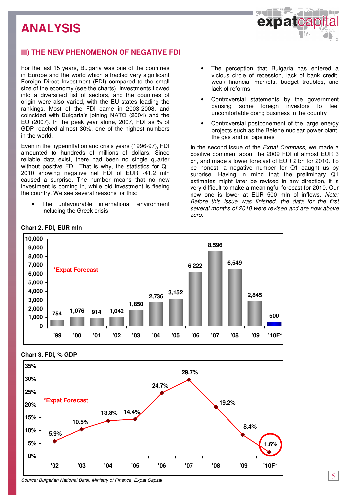## **III) THE NEW PHENOMENON OF NEGATIVE FDI**

For the last 15 years, Bulgaria was one of the countries in Europe and the world which attracted very significant Foreign Direct Investment (FDI) compared to the small size of the economy (see the charts). Investments flowed into a diversified list of sectors, and the countries of origin were also varied, with the EU states leading the rankings. Most of the FDI came in 2003-2008, and coincided with Bulgaria's joining NATO (2004) and the EU (2007). In the peak year alone, 2007, FDI as % of GDP reached almost 30%, one of the highest numbers in the world.

Even in the hyperinflation and crisis years (1996-97), FDI amounted to hundreds of millions of dollars. Since reliable data exist, there had been no single quarter without positive FDI. That is why, the statistics for Q1 2010 showing negative net FDI of EUR -41.2 mln caused a surprise. The number means that no new investment is coming in, while old investment is fleeing the country. We see several reasons for this:

The unfavourable international environment including the Greek crisis

The perception that Bulgaria has entered a vicious circle of recession, lack of bank credit, weak financial markets, budget troubles, and lack of reforms

كالأفار الباري

expatcap

- Controversial statements by the government causing some foreign investors to feel uncomfortable doing business in the country
- Controversial postponement of the large energy projects such as the Belene nuclear power plant, the gas and oil pipelines

In the second issue of the Expat Compass, we made a positive comment about the 2009 FDI of almost EUR 3 bn, and made a lower forecast of EUR 2 bn for 2010. To be honest, a negative number for Q1 caught us by surprise. Having in mind that the preliminary Q1 estimates might later be revised in any direction, it is very difficult to make a meaningful forecast for 2010. Our new one is lower at EUR 500 mln of inflows. Note: Before this issue was finished, the data for the first several months of 2010 were revised and are now above zero.



#### **Chart 2. FDI, EUR mln**

### **Chart 3. FDI, % GDP**

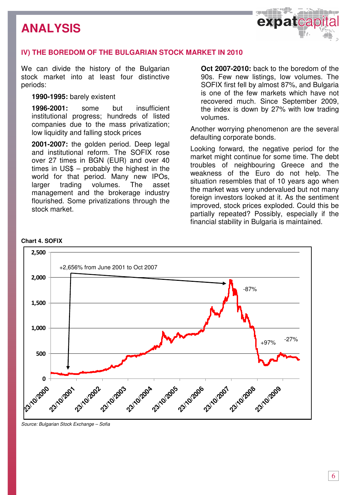

## І**V) THE BOREDOM OF THE BULGARIAN STOCK MARKET IN 2010**

We can divide the history of the Bulgarian stock market into at least four distinctive periods:

## **1990-1995:** barely existent

**1996-2001:** some but insufficient institutional progress; hundreds of listed companies due to the mass privatization; low liquidity and falling stock prices

**2001-2007:** the golden period. Deep legal and institutional reform. The SOFIX rose over 27 times in BGN (EUR) and over 40 times in US\$ – probably the highest in the world for that period. Many new IPOs, larger trading volumes. The asset management and the brokerage industry flourished. Some privatizations through the stock market.

**Oct 2007-2010:** back to the boredom of the 90s. Few new listings, low volumes. The SOFIX first fell by almost 87%, and Bulgaria is one of the few markets which have not recovered much. Since September 2009, the index is down by 27% with low trading volumes.

Another worrying phenomenon are the several defaulting corporate bonds.

Looking forward, the negative period for the market might continue for some time. The debt troubles of neighbouring Greece and the weakness of the Euro do not help. The situation resembles that of 10 years ago when the market was very undervalued but not many foreign investors looked at it. As the sentiment improved, stock prices exploded. Could this be partially repeated? Possibly, especially if the financial stability in Bulgaria is maintained.



#### **Chart 4. SOFIX**

Source: Bulgarian Stock Exchange – Sofia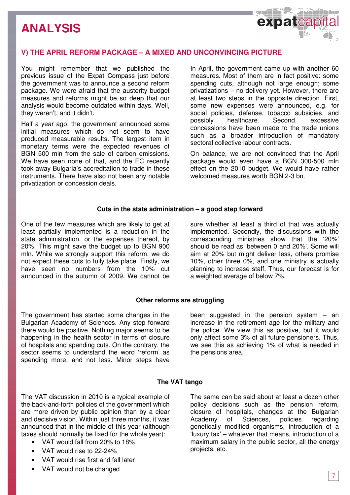

## **V) THE APRIL REFORM PACKAGE – A MIXED AND UNCONVINCING PICTURE**

You might remember that we published the previous issue of the Expat Compass just before the government was to announce a second reform package. We were afraid that the austerity budget measures and reforms might be so deep that our analysis would become outdated within days. Well, they weren't, and it didn't.

Half a year ago, the government announced some initial measures which do not seem to have produced measurable results. The largest item in monetary terms were the expected revenues of BGN 500 mln from the sale of carbon emissions. We have seen none of that, and the EC recently took away Bulgaria's accreditation to trade in these instruments. There have also not been any notable privatization or concession deals.

In April, the government came up with another 60 measures. Most of them are in fact positive: some spending cuts, although not large enough; some privatizations – no delivery yet. However, there are at least two steps in the opposite direction. First, some new expenses were announced, e.g. for social policies, defense, tobacco subsidies, and possibly healthcare. Second, excessive concessions have been made to the trade unions such as a broader introduction of mandatory sectoral collective labour contracts.

On balance, we are not convinced that the April package would even have a BGN 300-500 mln effect on the 2010 budget. We would have rather welcomed measures worth BGN 2-3 bn.

### **Cuts in the state administration – a good step forward**

One of the few measures which are likely to get at least partially implemented is a reduction in the state administration, or the expenses thereof, by 20%. This might save the budget up to BGN 900 mln. While we strongly support this reform, we do not expect these cuts to fully take place. Firstly, we have seen no numbers from the 10% cut announced in the autumn of 2009. We cannot be

sure whether at least a third of that was actually implemented. Secondly, the discussions with the corresponding ministries show that the '20%' should be read as 'between 0 and 20%'. Some will aim at 20% but might deliver less, others promise 10%, other three 0%, and one ministry is actually planning to increase staff. Thus, our forecast is for a weighted average of below 7%.

### **Other reforms are struggling**

The government has started some changes in the Bulgarian Academy of Sciences. Any step forward there would be positive. Nothing major seems to be happening in the health sector in terms of closure of hospitals and spending cuts. On the contrary, the sector seems to understand the word 'reform' as spending more, and not less. Minor steps have been suggested in the pension system  $-$  an increase in the retirement age for the military and the police. We view this as positive, but it would only affect some 3% of all future pensioners. Thus, we see this as achieving 1% of what is needed in the pensions area.

### **The VAT tango**

The VAT discussion in 2010 is a typical example of the back-and-forth policies of the government which are more driven by public opinion than by a clear and decisive vision. Within just three months, it was announced that in the middle of this year (although taxes should normally be fixed for the whole year):

- VAT would fall from 20% to 18%
- VAT would rise to 22-24%
- VAT would rise first and fall later
- VAT would not be changed

The same can be said about at least a dozen other policy decisions such as the pension reform, closure of hospitals, changes at the Bulgarian Academy of Sciences, policies regarding genetically modified organisms, introduction of a 'luxury tax' – whatever that means, introduction of a maximum salary in the public sector, all the energy projects, etc.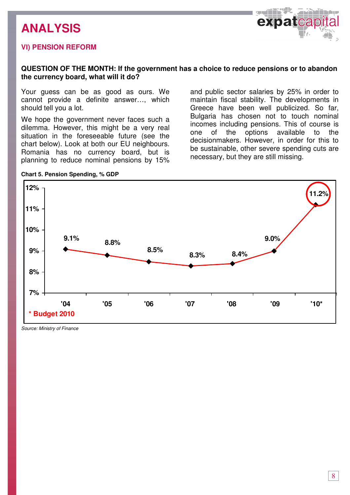## **V**І**) PENSION REFORM**



## **QUESTION OF THE MONTH: If the government has a choice to reduce pensions or to abandon the currency board, what will it do?**

Your guess can be as good as ours. We cannot provide a definite answer…, which should tell you a lot.

We hope the government never faces such a dilemma. However, this might be a very real situation in the foreseeable future (see the chart below). Look at both our EU neighbours. Romania has no currency board, but is planning to reduce nominal pensions by 15%

**Chart 5. Pension Spending, % GDP** 

and public sector salaries by 25% in order to maintain fiscal stability. The developments in Greece have been well publicized. So far, Bulgaria has chosen not to touch nominal incomes including pensions. This of course is one of the options available to the decisionmakers. However, in order for this to be sustainable, other severe spending cuts are necessary, but they are still missing.



Source: Ministry of Finance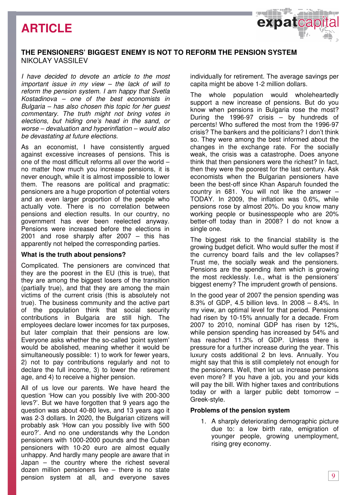# **ARTICLE**

## **THE PENSIONERS' BIGGEST ENEMY IS NOT TO REFORM THE PENSION SYSTEM**  NIKOLAY VASSILEV

I have decided to devote an article to the most important issue in my view – the lack of will to reform the pension system. I am happy that Svetla Kostadinova – one of the best economists in Bulgaria – has also chosen this topic for her guest commentary. The truth might not bring votes in elections, but hiding one's head in the sand, or worse – devaluation and hyperinflation – would also be devastating at future elections.

As an economist, I have consistently argued against excessive increases of pensions. This is one of the most difficult reforms all over the world – no matter how much you increase pensions, it is never enough, while it is almost impossible to lower them. The reasons are political and pragmatic: pensioners are a huge proportion of potential voters and an even larger proportion of the people who actually vote. There is no correlation between pensions and election results. In our country, no government has ever been reelected anyway. Pensions were increased before the elections in 2001 and rose sharply after 2007 – this has apparently not helped the corresponding parties.

### **What is the truth about pensions?**

Complicated. The pensioners are convinced that they are the poorest in the EU (this is true), that they are among the biggest losers of the transition (partially true), and that they are among the main victims of the current crisis (this is absolutely not true). The business community and the active part of the population think that social security contributions in Bulgaria are still high. The employees declare lower incomes for tax purposes, but later complain that their pensions are low. Everyone asks whether the so-called 'point system' would be abolished, meaning whether it would be simultaneously possible: 1) to work for fewer years, 2) not to pay contributions regularly and not to declare the full income, 3) to lower the retirement age, and 4) to receive a higher pension.

All of us love our parents. We have heard the question 'How can you possibly live with 200-300 levs?'. But we have forgotten that 9 years ago the question was about 40-80 levs, and 13 years ago it was 2-3 dollars. In 2020, the Bulgarian citizens will probably ask 'How can you possibly live with 500 euro?'. And no one understands why the London pensioners with 1000-2000 pounds and the Cuban pensioners with 10-20 euro are almost equally unhappy. And hardly many people are aware that in Japan – the country where the richest several dozen million pensioners live – there is no state pension system at all, and everyone saves

individually for retirement. The average savings per capita might be above 1-2 million dollars.

expatcap

The whole population would wholeheartedly support a new increase of pensions. But do you know when pensions in Bulgaria rose the most? During the 1996-97 crisis – by hundreds of percents! Who suffered the most from the 1996-97 crisis? The bankers and the politicians? I don't think so. They were among the best informed about the changes in the exchange rate. For the socially weak, the crisis was a catastrophe. Does anyone think that then pensioners were the richest? In fact, then they were the poorest for the last century. Ask economists when the Bulgarian pensioners have been the best-off since Khan Asparuh founded the country in 681. You will not like the answer – TODAY. In 2009, the inflation was 0.6%, while pensions rose by almost 20%. Do you know many working people or businesspeople who are 20% better-off today than in 2008? I do not know a single one.

The biggest risk to the financial stability is the growing budget deficit. Who would suffer the most if the currency board fails and the lev collapses? Trust me, the socially weak and the pensioners. Pensions are the spending item which is growing the most recklessly. I.e., what is the pensioners' biggest enemy? The imprudent growth of pensions.

In the good year of 2007 the pension spending was 8.3% of GDP, 4.5 billion levs. In 2008 – 8.4%. In my view, an optimal level for that period. Pensions had risen by 10-15% annually for a decade. From 2007 to 2010, nominal GDP has risen by 12%, while pension spending has increased by 54% and has reached 11.3% of GDP. Unless there is pressure for a further increase during the year. This luxury costs additional 2 bn levs. Annually. You might say that this is still completely not enough for the pensioners. Well, then let us increase pensions even more? If you have a job, you and your kids will pay the bill. With higher taxes and contributions today or with a larger public debt tomorrow – Greek-style.

### **Problems of the pension system**

1. A sharply deteriorating demographic picture due to: a low birth rate, emigration of younger people, growing unemployment, rising grey economy.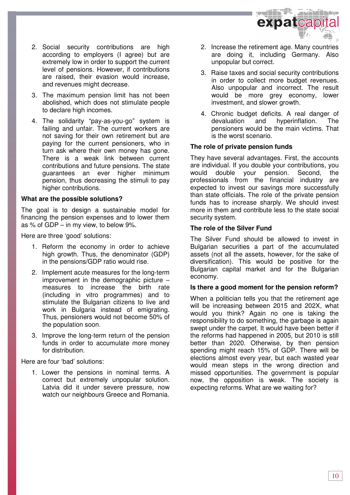

- 2. Social security contributions are high according to employers (I agree) but are extremely low in order to support the current level of pensions. However, if contributions are raised, their evasion would increase, and revenues might decrease.
- 3. The maximum pension limit has not been abolished, which does not stimulate people to declare high incomes.
- 4. The solidarity "pay-as-you-go" system is failing and unfair. The current workers are not saving for their own retirement but are paying for the current pensioners, who in turn ask where their own money has gone. There is a weak link between current contributions and future pensions. The state guarantees an ever higher minimum pension, thus decreasing the stimuli to pay higher contributions.

### **What are the possible solutions?**

The goal is to design a sustainable model for financing the pension expenses and to lower them as % of GDP – in my view, to below 9%.

Here are three 'good' solutions:

- 1. Reform the economy in order to achieve high growth. Thus, the denominator (GDP) in the pensions/GDP ratio would rise.
- 2. Implement acute measures for the long-term improvement in the demographic picture  $$ measures to increase the birth rate (including in vitro programmes) and to stimulate the Bulgarian citizens to live and work in Bulgaria instead of emigrating. Thus, pensioners would not become 50% of the population soon.
- 3. Improve the long-term return of the pension funds in order to accumulate more money for distribution.

Here are four 'bad' solutions:

1. Lower the pensions in nominal terms. A correct but extremely unpopular solution. Latvia did it under severe pressure, now watch our neighbours Greece and Romania.

- 2. Increase the retirement age. Many countries are doing it, including Germany. Also unpopular but correct.
- 3. Raise taxes and social security contributions in order to collect more budget revenues. Also unpopular and incorrect. The result would be more grey economy, lower investment, and slower growth.
- 4. Chronic budget deficits. A real danger of devaluation and hyperinflation. The pensioners would be the main victims. That is the worst scenario.

### **The role of private pension funds**

They have several advantages. First, the accounts are individual. If you double your contributions, you would double your pension. Second, the professionals from the financial industry are expected to invest our savings more successfully than state officials. The role of the private pension funds has to increase sharply. We should invest more in them and contribute less to the state social security system.

### **The role of the Silver Fund**

The Silver Fund should be allowed to invest in Bulgarian securities a part of the accumulated assets (not all the assets, however, for the sake of diversification). This would be positive for the Bulgarian capital market and for the Bulgarian economy.

### **Is there a good moment for the pension reform?**

When a politician tells you that the retirement age will be increasing between 2015 and 202X, what would you think? Again no one is taking the responsibility to do something, the garbage is again swept under the carpet. It would have been better if the reforms had happened in 2005, but 2010 is still better than 2020. Otherwise, by then pension spending might reach 15% of GDP. There will be elections almost every year, but each wasted year would mean steps in the wrong direction and missed opportunities. The government is popular now, the opposition is weak. The society is expecting reforms. What are we waiting for?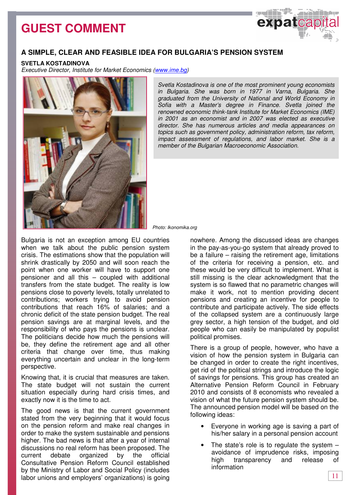# **GUEST COMMENT**



## **A SIMPLE, CLEAR AND FEASIBLE IDEA FOR BULGARIA'S PENSION SYSTEM**

#### **SVETLA KOSTADINOVA**

Executive Director, Institute for Market Economics (www.ime.bg)



Svetla Kostadinova is one of the most prominent young economists in Bulgaria. She was born in 1977 in Varna, Bulgaria. She graduated from the University of National and World Economy in Sofia with a Master's degree in Finance. Svetla joined the renowned economic think-tank Institute for Market Economics (IME) in 2001 as an economist and in 2007 was elected as executive director. She has numerous articles and media appearances on topics such as government policy, administration reform, tax reform, impact assessment of regulations, and labor market. She is a member of the Bulgarian Macroeconomic Association.

Photo: Ikonomika.org

Bulgaria is not an exception among EU countries when we talk about the public pension system crisis. The estimations show that the population will shrink drastically by 2050 and will soon reach the point when one worker will have to support one pensioner and all this – coupled with additional transfers from the state budget. The reality is low pensions close to poverty levels, totally unrelated to contributions; workers trying to avoid pension contributions that reach 16% of salaries; and a chronic deficit of the state pension budget. The real pension savings are at marginal levels, and the responsibility of who pays the pensions is unclear. The politicians decide how much the pensions will be, they define the retirement age and all other criteria that change over time, thus making everything uncertain and unclear in the long-term perspective.

Knowing that, it is crucial that measures are taken. The state budget will not sustain the current situation especially during hard crisis times, and exactly now it is the time to act.

The good news is that the current government stated from the very beginning that it would focus on the pension reform and make real changes in order to make the system sustainable and pensions higher. The bad news is that after a year of internal discussions no real reform has been proposed. The current debate organized by the official Consultative Pension Reform Council established by the Ministry of Labor and Social Policy (includes labor unions and employers' organizations) is going

nowhere. Among the discussed ideas are changes in the pay-as-you-go system that already proved to be a failure – raising the retirement age, limitations of the criteria for receiving a pension, etc. and these would be very difficult to implement. What is still missing is the clear acknowledgment that the system is so flаwed that no parametric changes will make it work, not to mention providing decent pensions and creating an incentive for people to contribute and participate actively. The side effects of the collapsed system are a continuously large grey sector, a high tension of the budget, and old people who can easily be manipulated by populist political promises.

There is a group of people, however, who have a vision of how the pension system in Bulgaria can be changed in order to create the right incentives, get rid of the political strings and introduce the logic of savings for pensions. This group has created an Alternative Pension Reform Council in February 2010 and consists of 8 economists who revealed a vision of what the future pension system should be. The announced pension model will be based on the following ideas:

- Everyone in working age is saving a part of his/her salary in a personal pension account
- The state's role is to regulate the system  $$ avoidance of imprudence risks, imposing high transparency and release of information

11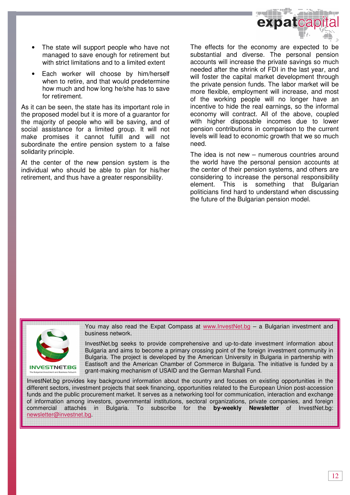

- The state will support people who have not managed to save enough for retirement but with strict limitations and to a limited extent
- Each worker will choose by him/herself when to retire, and that would predetermine how much and how long he/she has to save for retirement.

As it can be seen, the state has its important role in the proposed model but it is more of a guarantor for the majority of people who will be saving, and of social assistance for a limited group. It will not make promises it cannot fulfill and will not subordinate the entire pension system to a false solidarity principle.

At the center of the new pension system is the individual who should be able to plan for his/her retirement, and thus have a greater responsibility.

The effects for the economy are expected to be substantial and diverse. The personal pension accounts will increase the private savings so much needed after the shrink of FDI in the last year, and will foster the capital market development through the private pension funds. The labor market will be more flexible, employment will increase, and most of the working people will no longer have an incentive to hide the real earnings, so the informal economy will contract. All of the above, coupled with higher disposable incomes due to lower pension contributions in comparison to the current levels will lead to economic growth that we so much need.

The idea is not new – numerous countries around the world have the personal pension accounts at the center of their pension systems, and others are considering to increase the personal responsibility element. This is something that Bulgarian politicians find hard to understand when discussing the future of the Bulgarian pension model.



You may also read the Expat Compass at www.InvestNet.bg - a Bulgarian investment and business network.

InvestNet.bg seeks to provide comprehensive and up-to-date investment information about Bulgaria and aims to become a primary crossing point of the foreign investment community in Bulgaria. The project is developed by the American University in Bulgaria in partnership with Eastisoft and the American Chamber of Commerce in Bulgaria. The initiative is funded by a grant-making mechanism of USAID and the German Marshall Fund.

InvestNet.bg provides key background information about the country and focuses on existing opportunities in the different sectors, investment projects that seek financing, opportunities related to the European Union post-accession funds and the public procurement market. It serves as a networking tool for communication, interaction and exchange of information among investors, governmental institutions, sectoral organizations, private companies, and foreign commercial attachés in Bulgaria. To subscribe for the **by-weekly Newsletter** of InvestNet.bg: newsletter@investnet.bg.